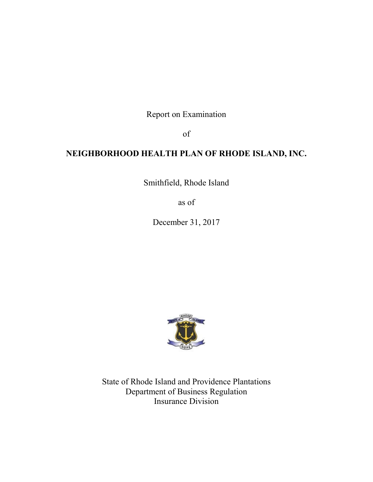Report on Examination

of

# **NEIGHBORHOOD HEALTH PLAN OF RHODE ISLAND, INC.**

Smithfield, Rhode Island

as of

December 31, 2017



State of Rhode Island and Providence Plantations Department of Business Regulation Insurance Division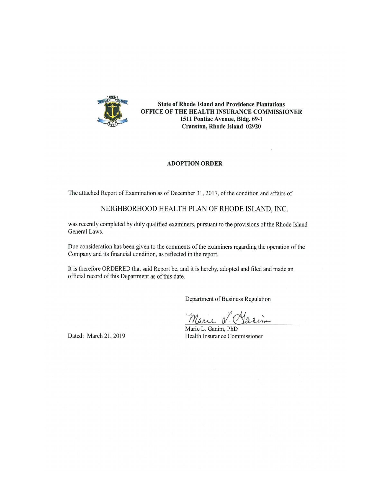

**State of Rhode Island and Providence Plantations** OFFICE OF THE HEALTH INSURANCE COMMISSIONER 1511 Pontiac Avenue, Bldg. 69-1 Cranston, Rhode Island 02920

#### **ADOPTION ORDER**

The attached Report of Examination as of December 31, 2017, of the condition and affairs of

## NEIGHBORHOOD HEALTH PLAN OF RHODE ISLAND, INC.

was recently completed by duly qualified examiners, pursuant to the provisions of the Rhode Island General Laws.

Due consideration has been given to the comments of the examiners regarding the operation of the Company and its financial condition, as reflected in the report.

It is therefore ORDERED that said Report be, and it is hereby, adopted and filed and made an official record of this Department as of this date.

Department of Business Regulation

Marie N. Vasin

Marie L. Ganim, PhD Health Insurance Commissioner

Dated: March 21, 2019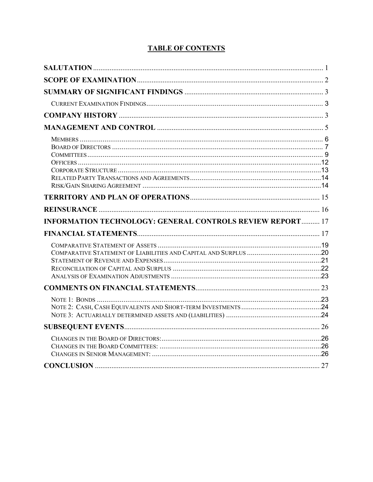| <b>INFORMATION TECHNOLOGY: GENERAL CONTROLS REVIEW REPORT 17</b> |  |
|------------------------------------------------------------------|--|
|                                                                  |  |
|                                                                  |  |
|                                                                  |  |
|                                                                  |  |
|                                                                  |  |
|                                                                  |  |
|                                                                  |  |

## **TABLE OF CONTENTS**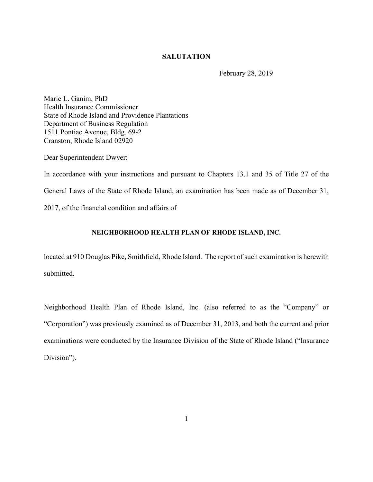## **SALUTATION**

February 28, 2019

Marie L. Ganim, PhD Health Insurance Commissioner State of Rhode Island and Providence Plantations Department of Business Regulation 1511 Pontiac Avenue, Bldg. 69-2 Cranston, Rhode Island 02920

Dear Superintendent Dwyer:

In accordance with your instructions and pursuant to Chapters 13.1 and 35 of Title 27 of the General Laws of the State of Rhode Island, an examination has been made as of December 31, 2017, of the financial condition and affairs of

### **NEIGHBORHOOD HEALTH PLAN OF RHODE ISLAND, INC.**

located at 910 Douglas Pike, Smithfield, Rhode Island. The report of such examination is herewith submitted.

Neighborhood Health Plan of Rhode Island, Inc. (also referred to as the "Company" or "Corporation") was previously examined as of December 31, 2013, and both the current and prior examinations were conducted by the Insurance Division of the State of Rhode Island ("Insurance Division").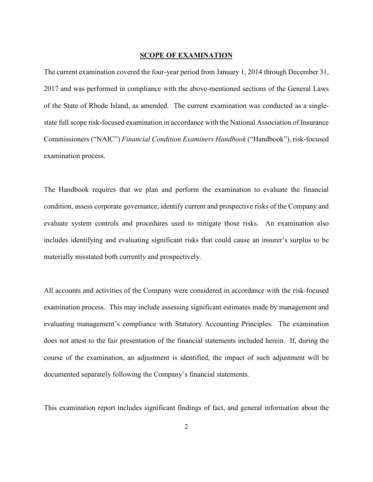#### **SCOPE OF EXAMINATION**

The current examination covered the four-year period from January 1, 2014 through December 31, 2017 and was performed in compliance with the above-mentioned sections of the General Laws of the State of Rhode Island, as amended. The current examination was conducted as a singlestate full scope risk-focused examination in accordance with the National Association of Insurance Commissioners ("NAIC") *Financial Condition Examiners Handbook* ("Handbook"), risk-focused examination process.

The Handbook requires that we plan and perform the examination to evaluate the financial condition, assess corporate governance, identify current and prospective risks of the Company and evaluate system controls and procedures used to mitigate those risks. An examination also includes identifying and evaluating significant risks that could cause an insurer's surplus to be materially misstated both currently and prospectively.

All accounts and activities of the Company were considered in accordance with the risk-focused examination process. This may include assessing significant estimates made by management and evaluating management's compliance with Statutory Accounting Principles. The examination does not attest to the fair presentation of the financial statements included herein. If, during the course of the examination, an adjustment is identified, the impact of such adjustment will be documented separately following the Company's financial statements.

This examination report includes significant findings of fact, and general information about the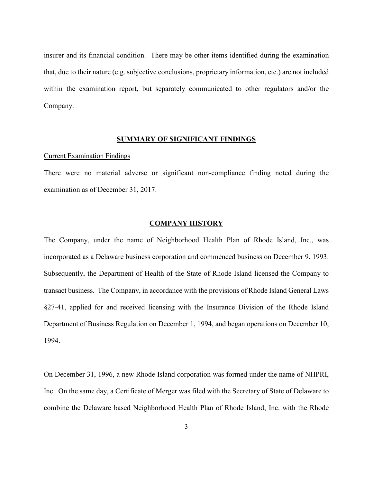insurer and its financial condition. There may be other items identified during the examination that, due to their nature (e.g. subjective conclusions, proprietary information, etc.) are not included within the examination report, but separately communicated to other regulators and/or the Company.

## **SUMMARY OF SIGNIFICANT FINDINGS**

#### Current Examination Findings

There were no material adverse or significant non-compliance finding noted during the examination as of December 31, 2017.

#### **COMPANY HISTORY**

The Company, under the name of Neighborhood Health Plan of Rhode Island, Inc., was incorporated as a Delaware business corporation and commenced business on December 9, 1993. Subsequently, the Department of Health of the State of Rhode Island licensed the Company to transact business. The Company, in accordance with the provisions of Rhode Island General Laws §27-41, applied for and received licensing with the Insurance Division of the Rhode Island Department of Business Regulation on December 1, 1994, and began operations on December 10, 1994.

On December 31, 1996, a new Rhode Island corporation was formed under the name of NHPRI, Inc. On the same day, a Certificate of Merger was filed with the Secretary of State of Delaware to combine the Delaware based Neighborhood Health Plan of Rhode Island, Inc. with the Rhode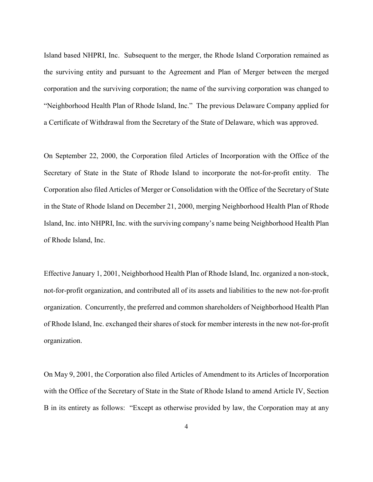Island based NHPRI, Inc. Subsequent to the merger, the Rhode Island Corporation remained as the surviving entity and pursuant to the Agreement and Plan of Merger between the merged corporation and the surviving corporation; the name of the surviving corporation was changed to "Neighborhood Health Plan of Rhode Island, Inc." The previous Delaware Company applied for a Certificate of Withdrawal from the Secretary of the State of Delaware, which was approved.

On September 22, 2000, the Corporation filed Articles of Incorporation with the Office of the Secretary of State in the State of Rhode Island to incorporate the not-for-profit entity. The Corporation also filed Articles of Merger or Consolidation with the Office of the Secretary of State in the State of Rhode Island on December 21, 2000, merging Neighborhood Health Plan of Rhode Island, Inc. into NHPRI, Inc. with the surviving company's name being Neighborhood Health Plan of Rhode Island, Inc.

Effective January 1, 2001, Neighborhood Health Plan of Rhode Island, Inc. organized a non-stock, not-for-profit organization, and contributed all of its assets and liabilities to the new not-for-profit organization. Concurrently, the preferred and common shareholders of Neighborhood Health Plan of Rhode Island, Inc. exchanged their shares of stock for member interests in the new not-for-profit organization.

On May 9, 2001, the Corporation also filed Articles of Amendment to its Articles of Incorporation with the Office of the Secretary of State in the State of Rhode Island to amend Article IV, Section B in its entirety as follows: "Except as otherwise provided by law, the Corporation may at any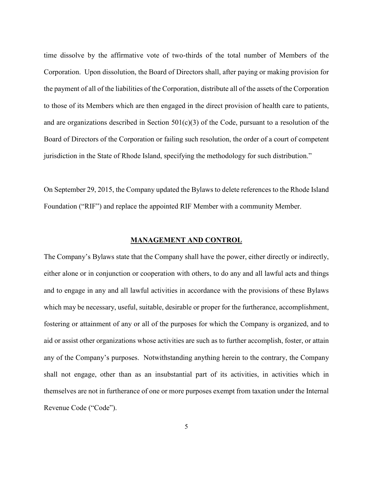time dissolve by the affirmative vote of two-thirds of the total number of Members of the Corporation. Upon dissolution, the Board of Directors shall, after paying or making provision for the payment of all of the liabilities of the Corporation, distribute all of the assets of the Corporation to those of its Members which are then engaged in the direct provision of health care to patients, and are organizations described in Section  $501(c)(3)$  of the Code, pursuant to a resolution of the Board of Directors of the Corporation or failing such resolution, the order of a court of competent jurisdiction in the State of Rhode Island, specifying the methodology for such distribution."

On September 29, 2015, the Company updated the Bylaws to delete references to the Rhode Island Foundation ("RIF") and replace the appointed RIF Member with a community Member.

#### **MANAGEMENT AND CONTROL**

The Company's Bylaws state that the Company shall have the power, either directly or indirectly, either alone or in conjunction or cooperation with others, to do any and all lawful acts and things and to engage in any and all lawful activities in accordance with the provisions of these Bylaws which may be necessary, useful, suitable, desirable or proper for the furtherance, accomplishment, fostering or attainment of any or all of the purposes for which the Company is organized, and to aid or assist other organizations whose activities are such as to further accomplish, foster, or attain any of the Company's purposes. Notwithstanding anything herein to the contrary, the Company shall not engage, other than as an insubstantial part of its activities, in activities which in themselves are not in furtherance of one or more purposes exempt from taxation under the Internal Revenue Code ("Code").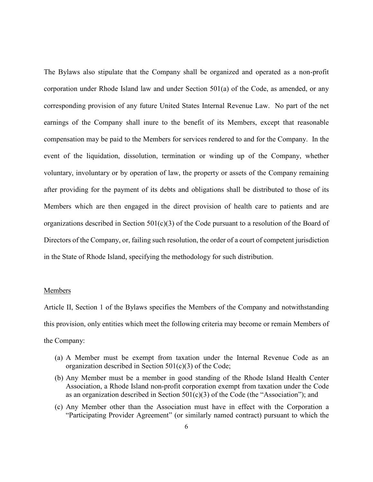The Bylaws also stipulate that the Company shall be organized and operated as a non-profit corporation under Rhode Island law and under Section 501(a) of the Code, as amended, or any corresponding provision of any future United States Internal Revenue Law. No part of the net earnings of the Company shall inure to the benefit of its Members, except that reasonable compensation may be paid to the Members for services rendered to and for the Company. In the event of the liquidation, dissolution, termination or winding up of the Company, whether voluntary, involuntary or by operation of law, the property or assets of the Company remaining after providing for the payment of its debts and obligations shall be distributed to those of its Members which are then engaged in the direct provision of health care to patients and are organizations described in Section  $501(c)(3)$  of the Code pursuant to a resolution of the Board of Directors of the Company, or, failing such resolution, the order of a court of competent jurisdiction in the State of Rhode Island, specifying the methodology for such distribution.

#### Members

Article II, Section 1 of the Bylaws specifies the Members of the Company and notwithstanding this provision, only entities which meet the following criteria may become or remain Members of the Company:

- (a) A Member must be exempt from taxation under the Internal Revenue Code as an organization described in Section 501(c)(3) of the Code;
- (b) Any Member must be a member in good standing of the Rhode Island Health Center Association, a Rhode Island non-profit corporation exempt from taxation under the Code as an organization described in Section  $501(c)(3)$  of the Code (the "Association"); and
- (c) Any Member other than the Association must have in effect with the Corporation a "Participating Provider Agreement" (or similarly named contract) pursuant to which the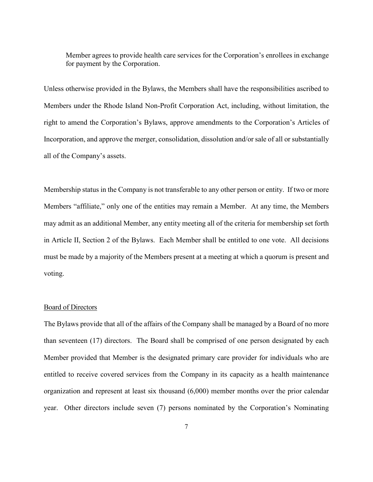Member agrees to provide health care services for the Corporation's enrollees in exchange for payment by the Corporation.

Unless otherwise provided in the Bylaws, the Members shall have the responsibilities ascribed to Members under the Rhode Island Non-Profit Corporation Act, including, without limitation, the right to amend the Corporation's Bylaws, approve amendments to the Corporation's Articles of Incorporation, and approve the merger, consolidation, dissolution and/or sale of all or substantially all of the Company's assets.

Membership status in the Company is not transferable to any other person or entity. If two or more Members "affiliate," only one of the entities may remain a Member. At any time, the Members may admit as an additional Member, any entity meeting all of the criteria for membership set forth in Article II, Section 2 of the Bylaws. Each Member shall be entitled to one vote. All decisions must be made by a majority of the Members present at a meeting at which a quorum is present and voting.

#### Board of Directors

The Bylaws provide that all of the affairs of the Company shall be managed by a Board of no more than seventeen (17) directors. The Board shall be comprised of one person designated by each Member provided that Member is the designated primary care provider for individuals who are entitled to receive covered services from the Company in its capacity as a health maintenance organization and represent at least six thousand (6,000) member months over the prior calendar year. Other directors include seven (7) persons nominated by the Corporation's Nominating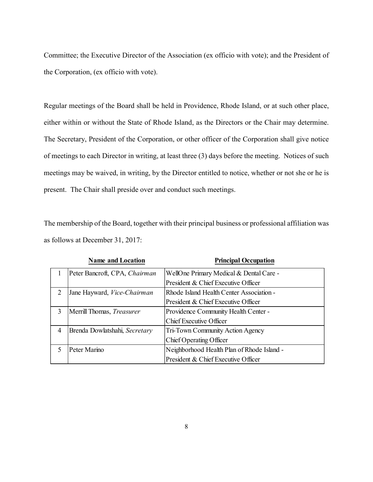Committee; the Executive Director of the Association (ex officio with vote); and the President of the Corporation, (ex officio with vote).

Regular meetings of the Board shall be held in Providence, Rhode Island, or at such other place, either within or without the State of Rhode Island, as the Directors or the Chair may determine. The Secretary, President of the Corporation, or other officer of the Corporation shall give notice of meetings to each Director in writing, at least three (3) days before the meeting. Notices of such meetings may be waived, in writing, by the Director entitled to notice, whether or not she or he is present. The Chair shall preside over and conduct such meetings.

The membership of the Board, together with their principal business or professional affiliation was as follows at December 31, 2017:

|   | <b>Name and Location</b>      | <b>Principal Occupation</b>                |
|---|-------------------------------|--------------------------------------------|
|   | Peter Bancroft, CPA, Chairman | WellOne Primary Medical & Dental Care -    |
|   |                               | President & Chief Executive Officer        |
| 2 | Jane Hayward, Vice-Chairman   | Rhode Island Health Center Association -   |
|   |                               | President & Chief Executive Officer        |
| 3 | Merrill Thomas, Treasurer     | Providence Community Health Center -       |
|   |                               | Chief Executive Officer                    |
| 4 | Brenda Dowlatshahi, Secretary | Tri-Town Community Action Agency           |
|   |                               | Chief Operating Officer                    |
|   | Peter Marino                  | Neighborhood Health Plan of Rhode Island - |
|   |                               | President & Chief Executive Officer        |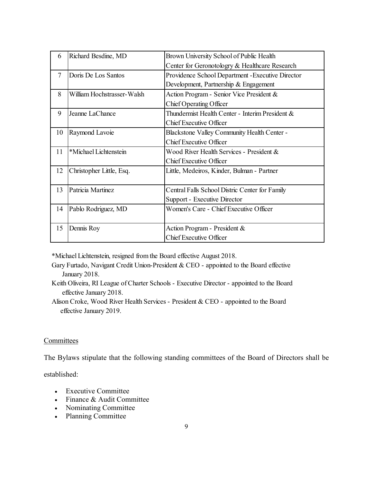| 6              | Richard Besdine, MD        | Brown University School of Public Health           |  |  |
|----------------|----------------------------|----------------------------------------------------|--|--|
|                |                            | Center for Geronotologry & Healthcare Research     |  |  |
| $\overline{7}$ | Doris De Los Santos        | Providence School Department - Executive Director  |  |  |
|                |                            | Development, Partnership & Engagement              |  |  |
| 8              | William Hochstrasser-Walsh | Action Program - Senior Vice President &           |  |  |
|                |                            | Chief Operating Officer                            |  |  |
| 9              | Jeanne LaChance            | Thundermist Health Center - Interim President $\&$ |  |  |
|                |                            | <b>Chief Executive Officer</b>                     |  |  |
| 10             | Raymond Lavoie             | <b>Blackstone Valley Community Health Center -</b> |  |  |
|                |                            | Chief Executive Officer                            |  |  |
| 11             | *Michael Lichtenstein      | Wood River Health Services - President &           |  |  |
|                |                            | <b>Chief Executive Officer</b>                     |  |  |
| 12             | Christopher Little, Esq.   | Little, Medeiros, Kinder, Bulman - Partner         |  |  |
|                |                            |                                                    |  |  |
| 13             | Patricia Martinez          | Central Falls School Distric Center for Family     |  |  |
|                |                            | Support - Executive Director                       |  |  |
| 14             | Pablo Rodriguez, MD        | Women's Care - Chief Executive Officer             |  |  |
|                |                            |                                                    |  |  |
| 15             | Dennis Roy                 | Action Program - President &                       |  |  |
|                |                            | <b>Chief Executive Officer</b>                     |  |  |

\*Michael Lichtenstein, resigned from the Board effective August 2018.

- Gary Furtado, Navigant Credit Union-President & CEO appointed to the Board effective January 2018.
- Keith Oliveira, RI League of Charter Schools Executive Director appointed to the Board effective January 2018.
- Alison Croke, Wood River Health Services President & CEO appointed to the Board effective January 2019.

## **Committees**

The Bylaws stipulate that the following standing committees of the Board of Directors shall be

established:

- Executive Committee
- Finance & Audit Committee
- Nominating Committee
- Planning Committee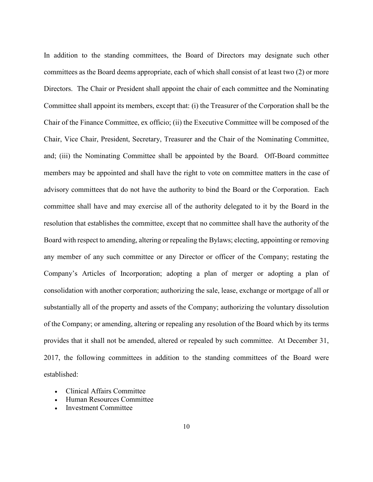In addition to the standing committees, the Board of Directors may designate such other committees as the Board deems appropriate, each of which shall consist of at least two (2) or more Directors. The Chair or President shall appoint the chair of each committee and the Nominating Committee shall appoint its members, except that: (i) the Treasurer of the Corporation shall be the Chair of the Finance Committee, ex officio; (ii) the Executive Committee will be composed of the Chair, Vice Chair, President, Secretary, Treasurer and the Chair of the Nominating Committee, and; (iii) the Nominating Committee shall be appointed by the Board. Off-Board committee members may be appointed and shall have the right to vote on committee matters in the case of advisory committees that do not have the authority to bind the Board or the Corporation. Each committee shall have and may exercise all of the authority delegated to it by the Board in the resolution that establishes the committee, except that no committee shall have the authority of the Board with respect to amending, altering or repealing the Bylaws; electing, appointing or removing any member of any such committee or any Director or officer of the Company; restating the Company's Articles of Incorporation; adopting a plan of merger or adopting a plan of consolidation with another corporation; authorizing the sale, lease, exchange or mortgage of all or substantially all of the property and assets of the Company; authorizing the voluntary dissolution of the Company; or amending, altering or repealing any resolution of the Board which by its terms provides that it shall not be amended, altered or repealed by such committee. At December 31, 2017, the following committees in addition to the standing committees of the Board were established:

- Clinical Affairs Committee
- Human Resources Committee
- Investment Committee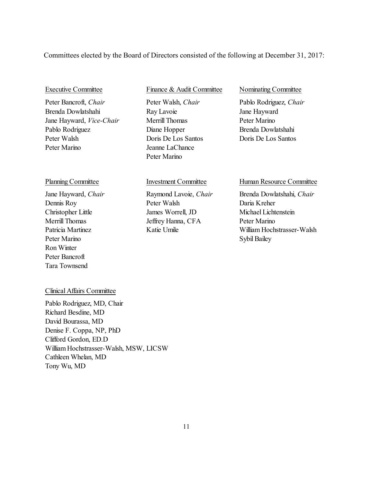### Committees elected by the Board of Directors consisted of the following at December 31, 2017:

Peter Bancroft, *Chair* Peter Walsh, *Chair* Pablo Rodriguez, *Chair* Brenda Dowlatshahi Ray Lavoie Jane Hayward Jane Hayward, *Vice-Chair* Merrill Thomas Peter Marino Pablo Rodriguez Diane Hopper Brenda Dowlatshahi Peter Walsh Doris De Los Santos Doris De Los Santos Peter Marino Jeanne LaChance

### Executive Committee Finance & Audit Committee Nominating Committee

Peter Marino

Peter Marino Sybil Bailey Ron Winter Peter Bancroft Tara Townsend

Dennis Roy Peter Walsh Daria Kreher Christopher Little James Worrell, JD Michael Lichtenstein Merrill Thomas Jeffrey Hanna, CFA Peter Marino

#### Planning Committee Investment Committee Human Resource Committee

Jane Hayward, *Chair* Raymond Lavoie, *Chair* Brenda Dowlatshahi, *Chair* Patricia Martinez **Katie Umile** William Hochstrasser-Walsh

### Clinical Affairs Committee

Pablo Rodriguez, MD, Chair Richard Besdine, MD David Bourassa, MD Denise F. Coppa, NP, PhD Clifford Gordon, ED.D William Hochstrasser-Walsh, MSW, LICSW Cathleen Whelan, MD Tony Wu, MD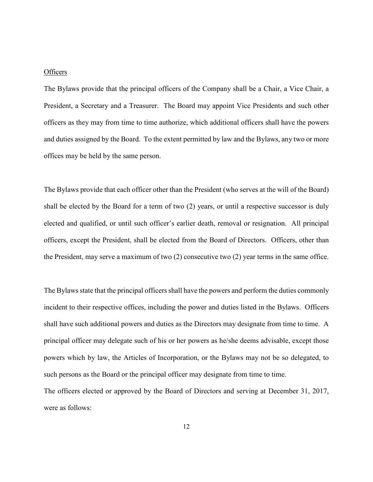#### **Officers**

The Bylaws provide that the principal officers of the Company shall be a Chair, a Vice Chair, a President, a Secretary and a Treasurer. The Board may appoint Vice Presidents and such other officers as they may from time to time authorize, which additional officers shall have the powers and duties assigned by the Board. To the extent permitted by law and the Bylaws, any two or more offices may be held by the same person.

The Bylaws provide that each officer other than the President (who serves at the will of the Board) shall be elected by the Board for a term of two (2) years, or until a respective successor is duly elected and qualified, or until such officer's earlier death, removal or resignation. All principal officers, except the President, shall be elected from the Board of Directors. Officers, other than the President, may serve a maximum of two (2) consecutive two (2) year terms in the same office.

The Bylaws state that the principal officers shall have the powers and perform the duties commonly incident to their respective offices, including the power and duties listed in the Bylaws. Officers shall have such additional powers and duties as the Directors may designate from time to time. A principal officer may delegate such of his or her powers as he/she deems advisable, except those powers which by law, the Articles of Incorporation, or the Bylaws may not be so delegated, to such persons as the Board or the principal officer may designate from time to time.

The officers elected or approved by the Board of Directors and serving at December 31, 2017, were as follows: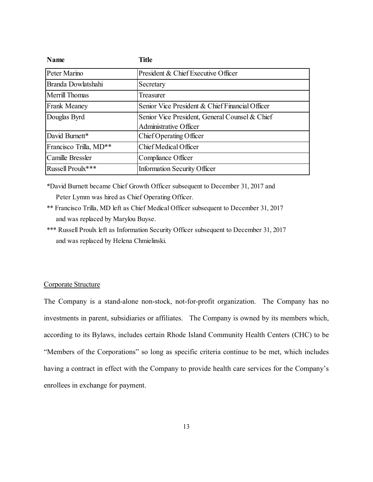| <b>Name</b>            | <b>Title</b>                                    |
|------------------------|-------------------------------------------------|
| Peter Marino           | President & Chief Executive Officer             |
| Branda Dowlatshahi     | Secretary                                       |
| Merrill Thomas         | Treasurer                                       |
| <b>Frank Meaney</b>    | Senior Vice President & Chief Financial Officer |
| Douglas Byrd           | Senior Vice President, General Counsel & Chief  |
|                        | Administrative Officer                          |
| David Burnett*         | Chief Operating Officer                         |
| Francisco Trilla, MD** | Chief Medical Officer                           |
| Camille Bressler       | Compliance Officer                              |
| Russell Proulx***      | <b>Information Security Officer</b>             |

\*David Burnett became Chief Growth Officer subsequent to December 31, 2017 and Peter Lymm was hired as Chief Operating Officer.

- \*\* Francisco Trilla, MD left as Chief Medical Officer subsequent to December 31, 2017 and was replaced by Marylou Buyse.
- \*\*\* Russell Proulx left as Information Security Officer subsequent to December 31, 2017 and was replaced by Helena Chmielinski.

### Corporate Structure

The Company is a stand-alone non-stock, not-for-profit organization. The Company has no investments in parent, subsidiaries or affiliates. The Company is owned by its members which, according to its Bylaws, includes certain Rhode Island Community Health Centers (CHC) to be "Members of the Corporations" so long as specific criteria continue to be met, which includes having a contract in effect with the Company to provide health care services for the Company's enrollees in exchange for payment.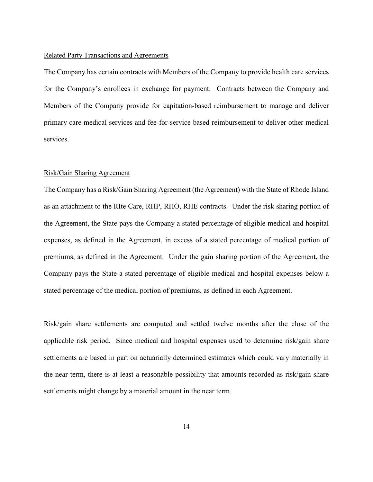#### Related Party Transactions and Agreements

The Company has certain contracts with Members of the Company to provide health care services for the Company's enrollees in exchange for payment. Contracts between the Company and Members of the Company provide for capitation-based reimbursement to manage and deliver primary care medical services and fee-for-service based reimbursement to deliver other medical services.

#### Risk/Gain Sharing Agreement

The Company has a Risk/Gain Sharing Agreement (the Agreement) with the State of Rhode Island as an attachment to the RIte Care, RHP, RHO, RHE contracts. Under the risk sharing portion of the Agreement, the State pays the Company a stated percentage of eligible medical and hospital expenses, as defined in the Agreement, in excess of a stated percentage of medical portion of premiums, as defined in the Agreement. Under the gain sharing portion of the Agreement, the Company pays the State a stated percentage of eligible medical and hospital expenses below a stated percentage of the medical portion of premiums, as defined in each Agreement.

Risk/gain share settlements are computed and settled twelve months after the close of the applicable risk period. Since medical and hospital expenses used to determine risk/gain share settlements are based in part on actuarially determined estimates which could vary materially in the near term, there is at least a reasonable possibility that amounts recorded as risk/gain share settlements might change by a material amount in the near term.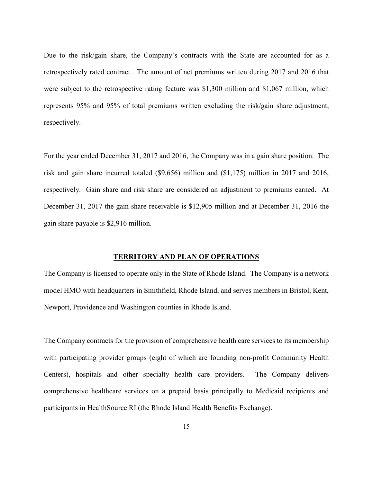Due to the risk/gain share, the Company's contracts with the State are accounted for as a retrospectively rated contract. The amount of net premiums written during 2017 and 2016 that were subject to the retrospective rating feature was \$1,300 million and \$1,067 million, which represents 95% and 95% of total premiums written excluding the risk/gain share adjustment, respectively.

For the year ended December 31, 2017 and 2016, the Company was in a gain share position. The risk and gain share incurred totaled (\$9,656) million and (\$1,175) million in 2017 and 2016, respectively. Gain share and risk share are considered an adjustment to premiums earned. At December 31, 2017 the gain share receivable is \$12,905 million and at December 31, 2016 the gain share payable is \$2,916 million.

#### **TERRITORY AND PLAN OF OPERATIONS**

The Company is licensed to operate only in the State of Rhode Island. The Company is a network model HMO with headquarters in Smithfield, Rhode Island, and serves members in Bristol, Kent, Newport, Providence and Washington counties in Rhode Island.

The Company contracts for the provision of comprehensive health care services to its membership with participating provider groups (eight of which are founding non-profit Community Health Centers), hospitals and other specialty health care providers. The Company delivers comprehensive healthcare services on a prepaid basis principally to Medicaid recipients and participants in HealthSource RI (the Rhode Island Health Benefits Exchange).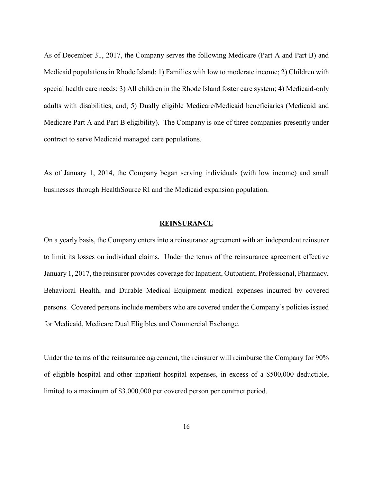As of December 31, 2017, the Company serves the following Medicare (Part A and Part B) and Medicaid populations in Rhode Island: 1) Families with low to moderate income; 2) Children with special health care needs; 3) All children in the Rhode Island foster care system; 4) Medicaid-only adults with disabilities; and; 5) Dually eligible Medicare/Medicaid beneficiaries (Medicaid and Medicare Part A and Part B eligibility). The Company is one of three companies presently under contract to serve Medicaid managed care populations.

As of January 1, 2014, the Company began serving individuals (with low income) and small businesses through HealthSource RI and the Medicaid expansion population.

#### **REINSURANCE**

On a yearly basis, the Company enters into a reinsurance agreement with an independent reinsurer to limit its losses on individual claims. Under the terms of the reinsurance agreement effective January 1, 2017, the reinsurer provides coverage for Inpatient, Outpatient, Professional, Pharmacy, Behavioral Health, and Durable Medical Equipment medical expenses incurred by covered persons. Covered persons include members who are covered under the Company's policies issued for Medicaid, Medicare Dual Eligibles and Commercial Exchange.

Under the terms of the reinsurance agreement, the reinsurer will reimburse the Company for 90% of eligible hospital and other inpatient hospital expenses, in excess of a \$500,000 deductible, limited to a maximum of \$3,000,000 per covered person per contract period.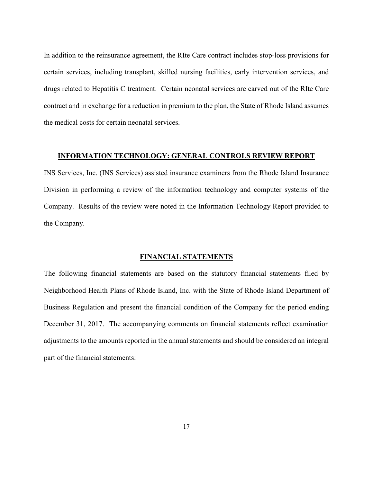In addition to the reinsurance agreement, the RIte Care contract includes stop-loss provisions for certain services, including transplant, skilled nursing facilities, early intervention services, and drugs related to Hepatitis C treatment. Certain neonatal services are carved out of the RIte Care contract and in exchange for a reduction in premium to the plan, the State of Rhode Island assumes the medical costs for certain neonatal services.

#### **INFORMATION TECHNOLOGY: GENERAL CONTROLS REVIEW REPORT**

INS Services, Inc. (INS Services) assisted insurance examiners from the Rhode Island Insurance Division in performing a review of the information technology and computer systems of the Company. Results of the review were noted in the Information Technology Report provided to the Company.

## **FINANCIAL STATEMENTS**

The following financial statements are based on the statutory financial statements filed by Neighborhood Health Plans of Rhode Island, Inc. with the State of Rhode Island Department of Business Regulation and present the financial condition of the Company for the period ending December 31, 2017. The accompanying comments on financial statements reflect examination adjustments to the amounts reported in the annual statements and should be considered an integral part of the financial statements: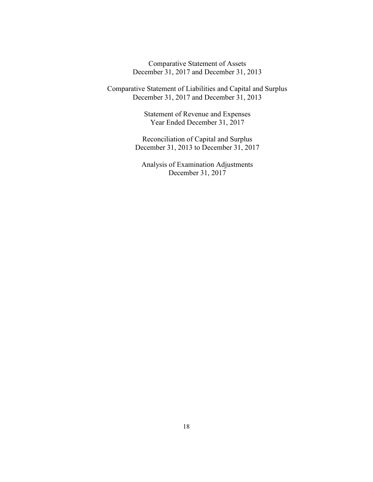Comparative Statement of Assets December 31, 2017 and December 31, 2013

Comparative Statement of Liabilities and Capital and Surplus December 31, 2017 and December 31, 2013

> Statement of Revenue and Expenses Year Ended December 31, 2017

Reconciliation of Capital and Surplus December 31, 2013 to December 31, 2017

Analysis of Examination Adjustments December 31, 2017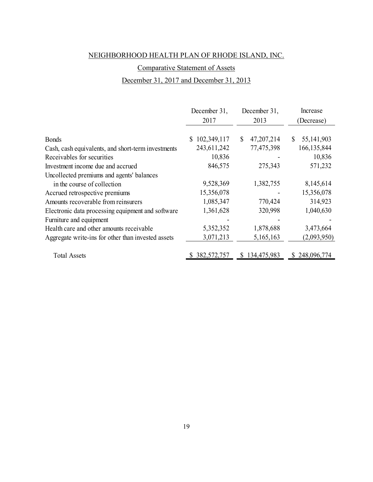## Comparative Statement of Assets

## December 31, 2017 and December 31, 2013

|                                                    | December 31,      | December 31,               | Increase                     |
|----------------------------------------------------|-------------------|----------------------------|------------------------------|
|                                                    | 2017              | 2013                       | (Decrease)                   |
|                                                    |                   |                            |                              |
| <b>Bonds</b>                                       | 102,349,117<br>S. | 47,207,214<br><sup>S</sup> | 55, 141, 903<br>$\mathbb{S}$ |
| Cash, cash equivalents, and short-term investments | 243,611,242       | 77,475,398                 | 166, 135, 844                |
| Receivables for securities                         | 10,836            |                            | 10,836                       |
| Investment income due and accrued                  | 846,575           | 275,343                    | 571,232                      |
| Uncollected premiums and agents' balances          |                   |                            |                              |
| in the course of collection                        | 9,528,369         | 1,382,755                  | 8,145,614                    |
| Accrued retrospective premiums                     | 15,356,078        |                            | 15,356,078                   |
| Amounts recoverable from reinsurers                | 1,085,347         | 770,424                    | 314,923                      |
| Electronic data processing equipment and software  | 1,361,628         | 320,998                    | 1,040,630                    |
| Furniture and equipment                            |                   |                            |                              |
| Health care and other amounts receivable           | 5,352,352         | 1,878,688                  | 3,473,664                    |
| Aggregate write-ins for other than invested assets | 3,071,213         | 5,165,163                  | (2,093,950)                  |
| <b>Total Assets</b>                                | \$382,572,757     | \$134,475,983              | \$248,096,774                |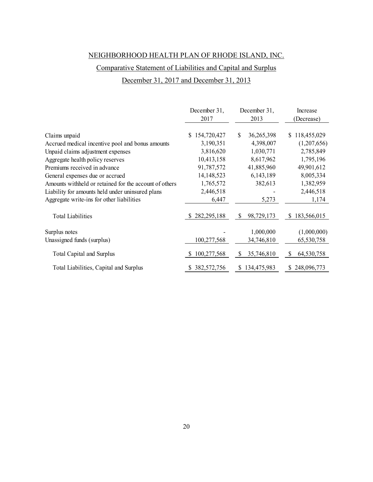## Comparative Statement of Liabilities and Capital and Surplus

## December 31, 2017 and December 31, 2013

|                                                        | December 31,      | December 31,      | Increase                    |
|--------------------------------------------------------|-------------------|-------------------|-----------------------------|
|                                                        | 2017              | 2013              | (Decrease)                  |
|                                                        |                   |                   |                             |
| Claims unpaid                                          | 154,720,427<br>S. | 36,265,398<br>\$  | 118,455,029<br>S.           |
| Accrued medical incentive pool and bonus amounts       | 3,190,351         | 4,398,007         | (1,207,656)                 |
| Unpaid claims adjustment expenses                      | 3,816,620         | 1,030,771         | 2,785,849                   |
| Aggregate health policy reserves                       | 10,413,158        | 8,617,962         | 1,795,196                   |
| Premiums received in advance                           | 91,787,572        | 41,885,960        | 49,901,612                  |
| General expenses due or accrued                        | 14, 148, 523      | 6,143,189         | 8,005,334                   |
| Amounts withheld or retained for the account of others | 1,765,572         | 382,613           | 1,382,959                   |
| Liability for amounts held under uninsured plans       | 2,446,518         |                   | 2,446,518                   |
| Aggregate write-ins for other liabilities              | 6,447             | 5,273             | 1,174                       |
| <b>Total Liabilities</b>                               | \$282,295,188     | \$<br>98,729,173  | 183,566,015<br><sup>S</sup> |
| Surplus notes                                          |                   | 1,000,000         | (1,000,000)                 |
| Unassigned funds (surplus)                             | 100,277,568       | 34,746,810        | 65,530,758                  |
| <b>Total Capital and Surplus</b>                       | 100,277,568       | 35,746,810<br>S   | 64,530,758<br>\$            |
| Total Liabilities, Capital and Surplus                 | \$382,572,756     | 134,475,983<br>S. | 248,096,773<br>S            |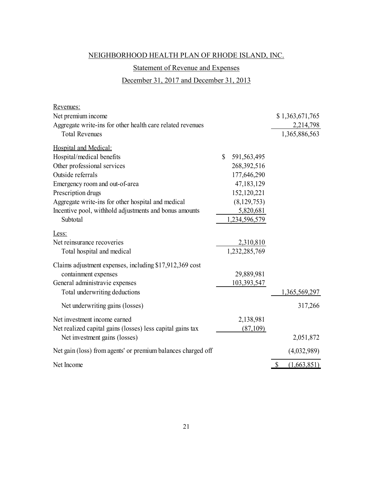## Statement of Revenue and Expenses

## December 31, 2017 and December 31, 2013

| Net premium income<br>Aggregate write-ins for other health care related revenues<br><b>Total Revenues</b><br>Hospital and Medical:<br>$\mathbb{S}$<br>Hospital/medical benefits<br>591,563,495 | \$1,363,671,765<br>2,214,798<br>1,365,886,563 |
|------------------------------------------------------------------------------------------------------------------------------------------------------------------------------------------------|-----------------------------------------------|
|                                                                                                                                                                                                |                                               |
|                                                                                                                                                                                                |                                               |
|                                                                                                                                                                                                |                                               |
|                                                                                                                                                                                                |                                               |
|                                                                                                                                                                                                |                                               |
| Other professional services<br>268,392,516                                                                                                                                                     |                                               |
| Outside referrals<br>177,646,290                                                                                                                                                               |                                               |
| 47,183,129<br>Emergency room and out-of-area                                                                                                                                                   |                                               |
| Prescription drugs<br>152,120,221                                                                                                                                                              |                                               |
| (8, 129, 753)<br>Aggregate write-ins for other hospital and medical                                                                                                                            |                                               |
| Incentive pool, withhold adjustments and bonus amounts<br>5,820,681                                                                                                                            |                                               |
| Subtotal<br>1,234,596,579                                                                                                                                                                      |                                               |
| Less:                                                                                                                                                                                          |                                               |
| Net reinsurance recoveries<br>2,310,810                                                                                                                                                        |                                               |
| 1,232,285,769<br>Total hospital and medical                                                                                                                                                    |                                               |
| Claims adjustment expenses, including \$17,912,369 cost                                                                                                                                        |                                               |
| 29,889,981<br>containment expenses                                                                                                                                                             |                                               |
| General administravie expenses<br>103,393,547                                                                                                                                                  |                                               |
| Total underwriting deductions                                                                                                                                                                  | 1,365,569,297                                 |
| Net underwriting gains (losses)                                                                                                                                                                | 317,266                                       |
| Net investment income earned<br>2,138,981                                                                                                                                                      |                                               |
| Net realized capital gains (losses) less capital gains tax<br>(87,109)                                                                                                                         |                                               |
| Net investment gains (losses)                                                                                                                                                                  | 2,051,872                                     |
| Net gain (loss) from agents' or premium balances charged off                                                                                                                                   | (4,032,989)                                   |
| Net Income<br>$\boldsymbol{\mathsf{S}}$                                                                                                                                                        | (1,663,851)                                   |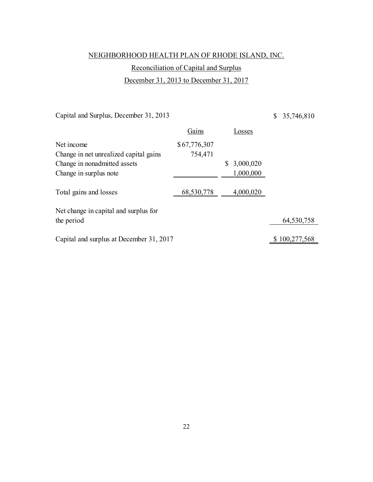# Reconciliation of Capital and Surplus

December 31, 2013 to December 31, 2017

Capital and Surplus, December 31, 2013

\$ 35,746,810

|                                          | Gains        | <b>Losses</b>   |               |
|------------------------------------------|--------------|-----------------|---------------|
| Net income                               | \$67,776,307 |                 |               |
| Change in net unrealized capital gains   | 754,471      |                 |               |
| Change in nonadmitted assets             |              | 3,000,020<br>S. |               |
| Change in surplus note                   |              | 1,000,000       |               |
| Total gains and losses                   | 68,530,778   | 4,000,020       |               |
| Net change in capital and surplus for    |              |                 |               |
| the period                               |              |                 | 64,530,758    |
| Capital and surplus at December 31, 2017 |              |                 | \$100,277,568 |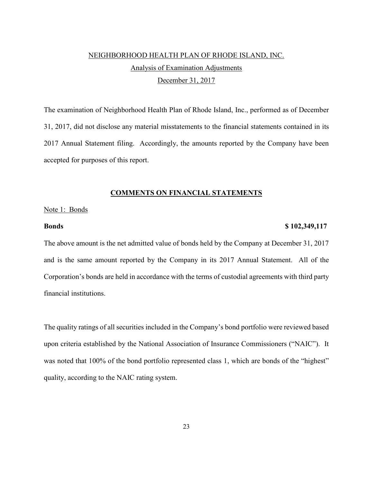# NEIGHBORHOOD HEALTH PLAN OF RHODE ISLAND, INC. Analysis of Examination Adjustments December 31, 2017

The examination of Neighborhood Health Plan of Rhode Island, Inc., performed as of December 31, 2017, did not disclose any material misstatements to the financial statements contained in its 2017 Annual Statement filing. Accordingly, the amounts reported by the Company have been accepted for purposes of this report.

#### **COMMENTS ON FINANCIAL STATEMENTS**

#### Note 1: Bonds

## **Bonds \$ 102,349,117**

The above amount is the net admitted value of bonds held by the Company at December 31, 2017 and is the same amount reported by the Company in its 2017 Annual Statement. All of the Corporation's bonds are held in accordance with the terms of custodial agreements with third party financial institutions.

The quality ratings of all securities included in the Company's bond portfolio were reviewed based upon criteria established by the National Association of Insurance Commissioners ("NAIC"). It was noted that 100% of the bond portfolio represented class 1, which are bonds of the "highest" quality, according to the NAIC rating system.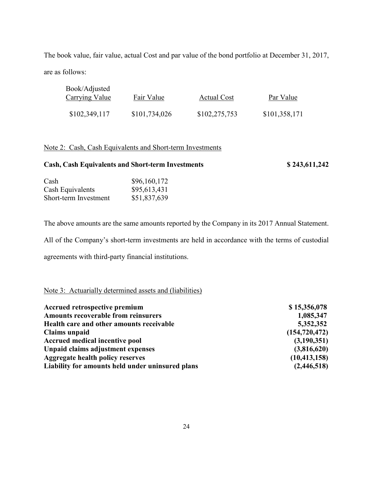The book value, fair value, actual Cost and par value of the bond portfolio at December 31, 2017, are as follows:

| Book/Adjusted<br>Carrying Value | Fair Value    | <b>Actual Cost</b> | Par Value     |
|---------------------------------|---------------|--------------------|---------------|
| \$102,349,117                   | \$101,734,026 | \$102,275,753      | \$101,358,171 |

## Note 2: Cash, Cash Equivalents and Short-term Investments

# **Cash, Cash Equivalents and Short-term Investments \$ 243,611,242**

| Cash                  | \$96,160,172 |
|-----------------------|--------------|
| Cash Equivalents      | \$95,613,431 |
| Short-term Investment | \$51,837,639 |

The above amounts are the same amounts reported by the Company in its 2017 Annual Statement.

All of the Company's short-term investments are held in accordance with the terms of custodial

agreements with third-party financial institutions.

## Note 3: Actuarially determined assets and (liabilities)

| Accrued retrospective premium                    | \$15,356,078    |
|--------------------------------------------------|-----------------|
| <b>Amounts recoverable from reinsurers</b>       | 1,085,347       |
| Health care and other amounts receivable         | 5,352,352       |
| Claims unpaid                                    | (154, 720, 472) |
| Accrued medical incentive pool                   | (3,190,351)     |
| Unpaid claims adjustment expenses                | (3,816,620)     |
| Aggregate health policy reserves                 | (10, 413, 158)  |
| Liability for amounts held under uninsured plans | (2,446,518)     |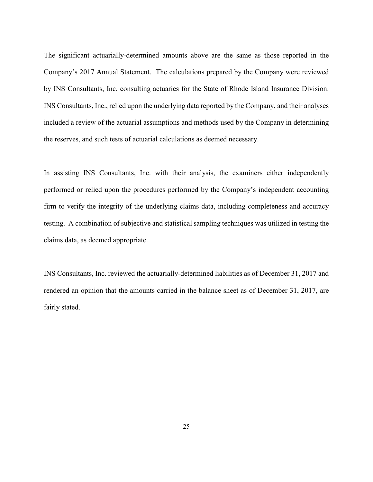The significant actuarially-determined amounts above are the same as those reported in the Company's 2017 Annual Statement. The calculations prepared by the Company were reviewed by INS Consultants, Inc. consulting actuaries for the State of Rhode Island Insurance Division. INS Consultants, Inc., relied upon the underlying data reported by the Company, and their analyses included a review of the actuarial assumptions and methods used by the Company in determining the reserves, and such tests of actuarial calculations as deemed necessary.

In assisting INS Consultants, Inc. with their analysis, the examiners either independently performed or relied upon the procedures performed by the Company's independent accounting firm to verify the integrity of the underlying claims data, including completeness and accuracy testing. A combination of subjective and statistical sampling techniques was utilized in testing the claims data, as deemed appropriate.

INS Consultants, Inc. reviewed the actuarially-determined liabilities as of December 31, 2017 and rendered an opinion that the amounts carried in the balance sheet as of December 31, 2017, are fairly stated.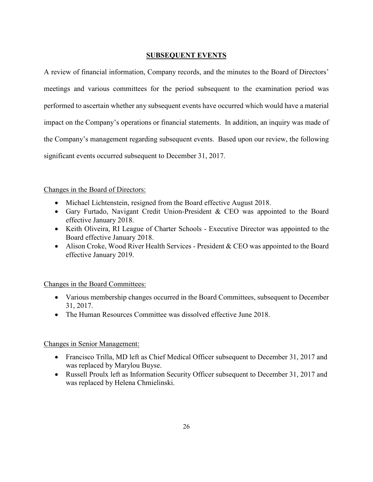## **SUBSEQUENT EVENTS**

A review of financial information, Company records, and the minutes to the Board of Directors' meetings and various committees for the period subsequent to the examination period was performed to ascertain whether any subsequent events have occurred which would have a material impact on the Company's operations or financial statements. In addition, an inquiry was made of the Company's management regarding subsequent events. Based upon our review, the following significant events occurred subsequent to December 31, 2017.

## Changes in the Board of Directors:

- Michael Lichtenstein, resigned from the Board effective August 2018.
- Gary Furtado, Navigant Credit Union-President & CEO was appointed to the Board effective January 2018.
- Keith Oliveira, RI League of Charter Schools Executive Director was appointed to the Board effective January 2018.
- Alison Croke, Wood River Health Services President  $&$  CEO was appointed to the Board effective January 2019.

## Changes in the Board Committees:

- Various membership changes occurred in the Board Committees, subsequent to December 31, 2017.
- The Human Resources Committee was dissolved effective June 2018.

## Changes in Senior Management:

- Francisco Trilla, MD left as Chief Medical Officer subsequent to December 31, 2017 and was replaced by Marylou Buyse.
- Russell Proulx left as Information Security Officer subsequent to December 31, 2017 and was replaced by Helena Chmielinski.